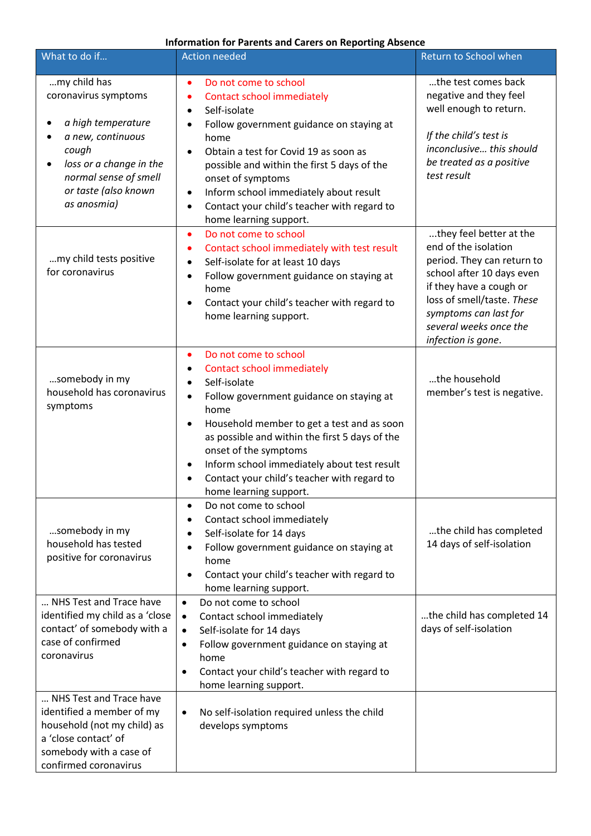## **Information for Parents and Carers on Reporting Absence**

| What to do if                                                                                                                                                                                    | <b>Action needed</b>                                                                                                                                                                                                                                                                                                                                                                                        | Return to School when                                                                                                                                                                                                                        |
|--------------------------------------------------------------------------------------------------------------------------------------------------------------------------------------------------|-------------------------------------------------------------------------------------------------------------------------------------------------------------------------------------------------------------------------------------------------------------------------------------------------------------------------------------------------------------------------------------------------------------|----------------------------------------------------------------------------------------------------------------------------------------------------------------------------------------------------------------------------------------------|
| my child has<br>coronavirus symptoms<br>a high temperature<br>a new, continuous<br>cough<br>loss or a change in the<br>$\bullet$<br>normal sense of smell<br>or taste (also known<br>as anosmia) | Do not come to school<br><b>Contact school immediately</b><br>Self-isolate<br>$\bullet$<br>Follow government guidance on staying at<br>home<br>Obtain a test for Covid 19 as soon as<br>$\bullet$<br>possible and within the first 5 days of the<br>onset of symptoms<br>Inform school immediately about result<br>٠<br>Contact your child's teacher with regard to<br>$\bullet$<br>home learning support.  | the test comes back<br>negative and they feel<br>well enough to return.<br>If the child's test is<br>inconclusive this should<br>be treated as a positive<br>test result                                                                     |
| my child tests positive<br>for coronavirus                                                                                                                                                       | Do not come to school<br>٠<br>Contact school immediately with test result<br>٠<br>Self-isolate for at least 10 days<br>$\bullet$<br>Follow government guidance on staying at<br>home<br>Contact your child's teacher with regard to<br>home learning support.                                                                                                                                               | they feel better at the<br>end of the isolation<br>period. They can return to<br>school after 10 days even<br>if they have a cough or<br>loss of smell/taste. These<br>symptoms can last for<br>several weeks once the<br>infection is gone. |
| somebody in my<br>household has coronavirus<br>symptoms                                                                                                                                          | Do not come to school<br>٠<br><b>Contact school immediately</b><br>٠<br>Self-isolate<br>Follow government guidance on staying at<br>$\bullet$<br>home<br>Household member to get a test and as soon<br>as possible and within the first 5 days of the<br>onset of the symptoms<br>Inform school immediately about test result<br>٠<br>Contact your child's teacher with regard to<br>home learning support. | the household<br>member's test is negative.                                                                                                                                                                                                  |
| somebody in my<br>household has tested<br>positive for coronavirus                                                                                                                               | Do not come to school<br>٠<br>Contact school immediately<br>Self-isolate for 14 days<br>Follow government guidance on staying at<br>home<br>Contact your child's teacher with regard to<br>home learning support.                                                                                                                                                                                           | the child has completed<br>14 days of self-isolation                                                                                                                                                                                         |
| NHS Test and Trace have<br>identified my child as a 'close<br>contact' of somebody with a<br>case of confirmed<br>coronavirus                                                                    | Do not come to school<br>$\bullet$<br>Contact school immediately<br>$\bullet$<br>Self-isolate for 14 days<br>$\bullet$<br>Follow government guidance on staying at<br>٠<br>home<br>Contact your child's teacher with regard to<br>٠<br>home learning support.                                                                                                                                               | the child has completed 14<br>days of self-isolation                                                                                                                                                                                         |
| NHS Test and Trace have<br>identified a member of my<br>household (not my child) as<br>a 'close contact' of<br>somebody with a case of<br>confirmed coronavirus                                  | No self-isolation required unless the child<br>$\bullet$<br>develops symptoms                                                                                                                                                                                                                                                                                                                               |                                                                                                                                                                                                                                              |